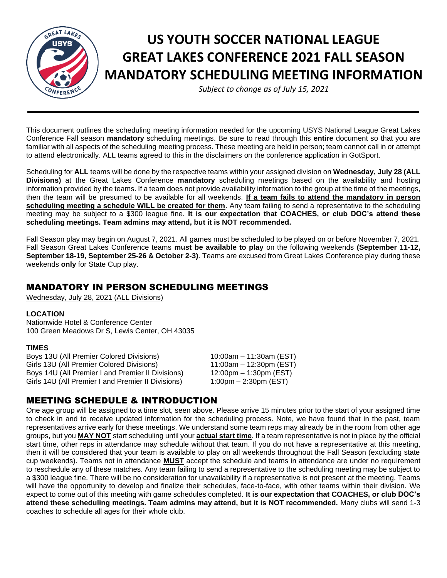

# **US YOUTH SOCCER NATIONAL LEAGUE GREAT LAKES CONFERENCE 2021 FALL SEASON MANDATORY SCHEDULING MEETING INFORMATION**

*Subject to change as of July 15, 2021*

This document outlines the scheduling meeting information needed for the upcoming USYS National League Great Lakes Conference Fall season **mandatory** scheduling meetings. Be sure to read through this **entire** document so that you are familiar with all aspects of the scheduling meeting process. These meeting are held in person; team cannot call in or attempt to attend electronically. ALL teams agreed to this in the disclaimers on the conference application in GotSport.

Scheduling for **ALL** teams will be done by the respective teams within your assigned division on **Wednesday, July 28 (ALL Divisions)** at the Great Lakes Conference **mandatory** scheduling meetings based on the availability and hosting information provided by the teams. If a team does not provide availability information to the group at the time of the meetings, then the team will be presumed to be available for all weekends. **If a team fails to attend the mandatory in person scheduling meeting a schedule WILL be created for them**. Any team failing to send a representative to the scheduling meeting may be subject to a \$300 league fine. **It is our expectation that COACHES, or club DOC's attend these scheduling meetings. Team admins may attend, but it is NOT recommended.**

Fall Season play may begin on August 7, 2021. All games must be scheduled to be played on or before November 7, 2021. Fall Season Great Lakes Conference teams **must be available to play** on the following weekends **(September 11-12, September 18-19, September 25-26 & October 2-3)**. Teams are excused from Great Lakes Conference play during these weekends **only** for State Cup play.

## MANDATORY IN PERSON SCHEDULING MEETINGS

Wednesday, July 28, 2021 (ALL Divisions)

#### **LOCATION**

Nationwide Hotel & Conference Center 100 Green Meadows Dr S, Lewis Center, OH 43035

#### **TIMES**

Boys 13U (All Premier Colored Divisions) 10:00am – 11:30am (EST) Girls 13U (All Premier Colored Divisions) 11:00am – 12:30pm (EST)<br>Boys 14U (All Premier I and Premier II Divisions) 12:00pm – 1:30pm (EST) Boys 14U (All Premier I and Premier II Divisions) Girls 14U (All Premier I and Premier II Divisions) 1:00pm - 2:30pm (EST)

# MEETING SCHEDULE & INTRODUCTION

One age group will be assigned to a time slot, seen above. Please arrive 15 minutes prior to the start of your assigned time to check in and to receive updated information for the scheduling process. Note, we have found that in the past, team representatives arrive early for these meetings. We understand some team reps may already be in the room from other age groups, but you **MAY NOT** start scheduling until your **actual start time**. If a team representative is not in place by the official start time, other reps in attendance may schedule without that team. If you do not have a representative at this meeting, then it will be considered that your team is available to play on all weekends throughout the Fall Season (excluding state cup weekends). Teams not in attendance **MUST** accept the schedule and teams in attendance are under no requirement to reschedule any of these matches. Any team failing to send a representative to the scheduling meeting may be subject to a \$300 league fine. There will be no consideration for unavailability if a representative is not present at the meeting. Teams will have the opportunity to develop and finalize their schedules, face-to-face, with other teams within their division. We expect to come out of this meeting with game schedules completed. **It is our expectation that COACHES, or club DOC's attend these scheduling meetings. Team admins may attend, but it is NOT recommended.** Many clubs will send 1-3 coaches to schedule all ages for their whole club.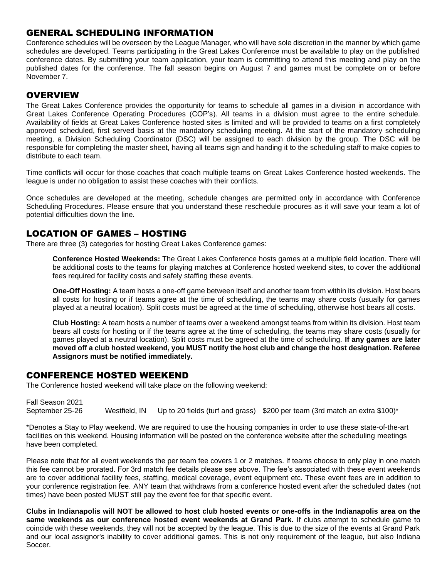## GENERAL SCHEDULING INFORMATION

Conference schedules will be overseen by the League Manager, who will have sole discretion in the manner by which game schedules are developed. Teams participating in the Great Lakes Conference must be available to play on the published conference dates. By submitting your team application, your team is committing to attend this meeting and play on the published dates for the conference. The fall season begins on August 7 and games must be complete on or before November 7.

#### **OVERVIEW**

The Great Lakes Conference provides the opportunity for teams to schedule all games in a division in accordance with Great Lakes Conference Operating Procedures (COP's). All teams in a division must agree to the entire schedule. Availability of fields at Great Lakes Conference hosted sites is limited and will be provided to teams on a first completely approved scheduled, first served basis at the mandatory scheduling meeting. At the start of the mandatory scheduling meeting, a Division Scheduling Coordinator (DSC) will be assigned to each division by the group. The DSC will be responsible for completing the master sheet, having all teams sign and handing it to the scheduling staff to make copies to distribute to each team.

Time conflicts will occur for those coaches that coach multiple teams on Great Lakes Conference hosted weekends. The league is under no obligation to assist these coaches with their conflicts.

Once schedules are developed at the meeting, schedule changes are permitted only in accordance with Conference Scheduling Procedures. Please ensure that you understand these reschedule procures as it will save your team a lot of potential difficulties down the line.

#### LOCATION OF GAMES – HOSTING

There are three (3) categories for hosting Great Lakes Conference games:

**Conference Hosted Weekends:** The Great Lakes Conference hosts games at a multiple field location. There will be additional costs to the teams for playing matches at Conference hosted weekend sites, to cover the additional fees required for facility costs and safely staffing these events.

**One-Off Hosting:** A team hosts a one-off game between itself and another team from within its division. Host bears all costs for hosting or if teams agree at the time of scheduling, the teams may share costs (usually for games played at a neutral location). Split costs must be agreed at the time of scheduling, otherwise host bears all costs.

**Club Hosting:** A team hosts a number of teams over a weekend amongst teams from within its division. Host team bears all costs for hosting or if the teams agree at the time of scheduling, the teams may share costs (usually for games played at a neutral location). Split costs must be agreed at the time of scheduling. **If any games are later moved off a club hosted weekend, you MUST notify the host club and change the host designation. Referee Assignors must be notified immediately.**

#### CONFERENCE HOSTED WEEKEND

The Conference hosted weekend will take place on the following weekend:

Fall Season 2021 September 25-26 Westfield, IN Up to 20 fields (turf and grass) \$200 per team (3rd match an extra \$100)\*

\*Denotes a Stay to Play weekend. We are required to use the housing companies in order to use these state-of-the-art facilities on this weekend. Housing information will be posted on the conference website after the scheduling meetings have been completed.

Please note that for all event weekends the per team fee covers 1 or 2 matches. If teams choose to only play in one match this fee cannot be prorated. For 3rd match fee details please see above. The fee's associated with these event weekends are to cover additional facility fees, staffing, medical coverage, event equipment etc. These event fees are in addition to your conference registration fee. ANY team that withdraws from a conference hosted event after the scheduled dates (not times) have been posted MUST still pay the event fee for that specific event.

**Clubs in Indianapolis will NOT be allowed to host club hosted events or one-offs in the Indianapolis area on the same weekends as our conference hosted event weekends at Grand Park.** If clubs attempt to schedule game to coincide with these weekends, they will not be accepted by the league. This is due to the size of the events at Grand Park and our local assignor's inability to cover additional games. This is not only requirement of the league, but also Indiana Soccer.